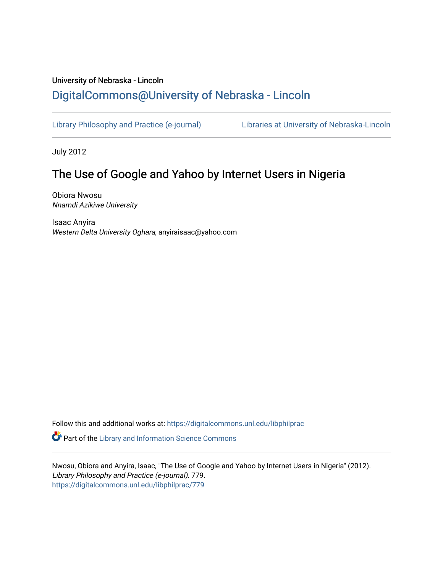# University of Nebraska - Lincoln [DigitalCommons@University of Nebraska - Lincoln](https://digitalcommons.unl.edu/)

[Library Philosophy and Practice \(e-journal\)](https://digitalcommons.unl.edu/libphilprac) [Libraries at University of Nebraska-Lincoln](https://digitalcommons.unl.edu/libraries) 

July 2012

# The Use of Google and Yahoo by Internet Users in Nigeria

Obiora Nwosu Nnamdi Azikiwe University

Isaac Anyira Western Delta University Oghara, anyiraisaac@yahoo.com

Follow this and additional works at: [https://digitalcommons.unl.edu/libphilprac](https://digitalcommons.unl.edu/libphilprac?utm_source=digitalcommons.unl.edu%2Flibphilprac%2F779&utm_medium=PDF&utm_campaign=PDFCoverPages) 

**C** Part of the Library and Information Science Commons

Nwosu, Obiora and Anyira, Isaac, "The Use of Google and Yahoo by Internet Users in Nigeria" (2012). Library Philosophy and Practice (e-journal). 779. [https://digitalcommons.unl.edu/libphilprac/779](https://digitalcommons.unl.edu/libphilprac/779?utm_source=digitalcommons.unl.edu%2Flibphilprac%2F779&utm_medium=PDF&utm_campaign=PDFCoverPages)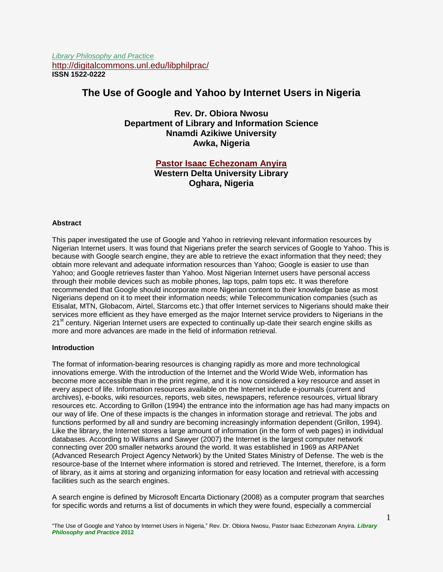*Library Philosophy and Practice* <http://digitalcommons.unl.edu/libphilprac/> **ISSN 1522-0222**

## **The Use of Google and Yahoo by Internet Users in Nigeria**

**Rev. Dr. Obiora Nwosu Department of Library and Information Science Nnamdi Azikiwe University Awka, Nigeria**

## **[Pastor Isaac Echezonam Anyira](mailto:anyiraisaac@yahoo.com) Western Delta University Library Oghara, Nigeria**

#### **Abstract**

This paper investigated the use of Google and Yahoo in retrieving relevant information resources by Nigerian Internet users. It was found that Nigerians prefer the search services of Google to Yahoo. This is because with Google search engine, they are able to retrieve the exact information that they need; they obtain more relevant and adequate information resources than Yahoo; Google is easier to use than Yahoo; and Google retrieves faster than Yahoo. Most Nigerian Internet users have personal access through their mobile devices such as mobile phones, lap tops, palm tops etc. It was therefore recommended that Google should incorporate more Nigerian content to their knowledge base as most Nigerians depend on it to meet their information needs; while Telecommunication companies (such as Etisalat, MTN, Globacom, Airtel, Starcoms etc.) that offer Internet services to Nigerians should make their services more efficient as they have emerged as the major Internet service providers to Nigerians in the 21<sup>st</sup> century. Nigerian Internet users are expected to continually up-date their search engine skills as more and more advances are made in the field of information retrieval.

#### **Introduction**

The format of information-bearing resources is changing rapidly as more and more technological innovations emerge. With the introduction of the Internet and the World Wide Web, information has become more accessible than in the print regime, and it is now considered a key resource and asset in every aspect of life. Information resources available on the Internet include e-journals (current and archives), e-books, wiki resources, reports, web sites, newspapers, reference resources, virtual library resources etc. According to Grillon (1994) the entrance into the information age has had many impacts on our way of life. One of these impacts is the changes in information storage and retrieval. The jobs and functions performed by all and sundry are becoming increasingly information dependent (Grillon, 1994). Like the library, the Internet stores a large amount of information (in the form of web pages) in individual databases. According to Williams and Sawyer (2007) the Internet is the largest computer network connecting over 200 smaller networks around the world. It was established in 1969 as ARPANet (Advanced Research Project Agency Network) by the United States Ministry of Defense. The web is the resource-base of the Internet where information is stored and retrieved. The Internet, therefore, is a form of library, as it aims at storing and organizing information for easy location and retrieval with accessing facilities such as the search engines.

A search engine is defined by Microsoft Encarta Dictionary (2008) as a computer program that searches for specific words and returns a list of documents in which they were found, especially a commercial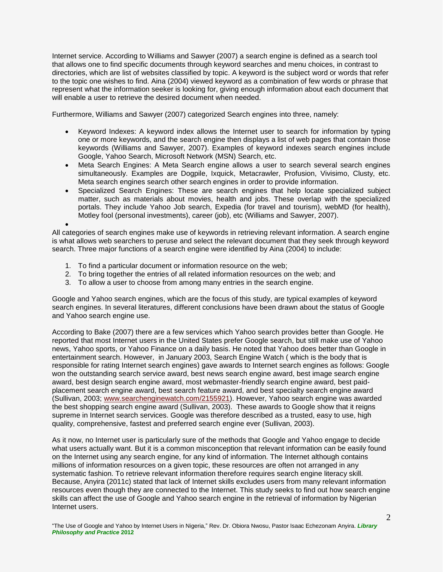Internet service. According to Williams and Sawyer (2007) a search engine is defined as a search tool that allows one to find specific documents through keyword searches and menu choices, in contrast to directories, which are list of websites classified by topic. A keyword is the subject word or words that refer to the topic one wishes to find. Aina (2004) viewed keyword as a combination of few words or phrase that represent what the information seeker is looking for, giving enough information about each document that will enable a user to retrieve the desired document when needed.

Furthermore, Williams and Sawyer (2007) categorized Search engines into three, namely:

- Keyword Indexes: A keyword index allows the Internet user to search for information by typing one or more keywords, and the search engine then displays a list of web pages that contain those keywords (Williams and Sawyer, 2007). Examples of keyword indexes search engines include Google, Yahoo Search, Microsoft Network (MSN) Search, etc.
- Meta Search Engines: A Meta Search engine allows a user to search several search engines simultaneously. Examples are Dogpile, Ixquick, Metacrawler, Profusion, Vivisimo, Clusty, etc. Meta search engines search other search engines in order to provide information.
- Specialized Search Engines: These are search engines that help locate specialized subject matter, such as materials about movies, health and jobs. These overlap with the specialized portals. They include Yahoo Job search, Expedia (for travel and tourism), webMD (for health), Motley fool (personal investments), career (job), etc (Williams and Sawyer, 2007).

 $\bullet$ All categories of search engines make use of keywords in retrieving relevant information. A search engine is what allows web searchers to peruse and select the relevant document that they seek through keyword search. Three major functions of a search engine were identified by Aina (2004) to include:

- 1. To find a particular document or information resource on the web;
- 2. To bring together the entries of all related information resources on the web; and
- 3. To allow a user to choose from among many entries in the search engine.

Google and Yahoo search engines, which are the focus of this study, are typical examples of keyword search engines. In several literatures, different conclusions have been drawn about the status of Google and Yahoo search engine use.

According to Bake (2007) there are a few services which Yahoo search provides better than Google. He reported that most Internet users in the United States prefer Google search, but still make use of Yahoo news, Yahoo sports, or Yahoo Finance on a daily basis. He noted that Yahoo does better than Google in entertainment search. However, in January 2003, Search Engine Watch ( which is the body that is responsible for rating Internet search engines) gave awards to Internet search engines as follows: Google won the outstanding search service award, best news search engine award, best image search engine award, best design search engine award, most webmaster-friendly search engine award, best paidplacement search engine award, best search feature award, and best specialty search engine award (Sullivan, 2003; [www.searchenginewatch.com/2155921\)](http://www.searchenginewatch.com/2155921). However, Yahoo search engine was awarded the best shopping search engine award (Sullivan, 2003). These awards to Google show that it reigns supreme in Internet search services. Google was therefore described as a trusted, easy to use, high quality, comprehensive, fastest and preferred search engine ever (Sullivan, 2003).

As it now, no Internet user is particularly sure of the methods that Google and Yahoo engage to decide what users actually want. But it is a common misconception that relevant information can be easily found on the Internet using any search engine, for any kind of information. The Internet although contains millions of information resources on a given topic, these resources are often not arranged in any systematic fashion. To retrieve relevant information therefore requires search engine literacy skill. Because, Anyira (2011c) stated that lack of Internet skills excludes users from many relevant information resources even though they are connected to the Internet. This study seeks to find out how search engine skills can affect the use of Google and Yahoo search engine in the retrieval of information by Nigerian Internet users.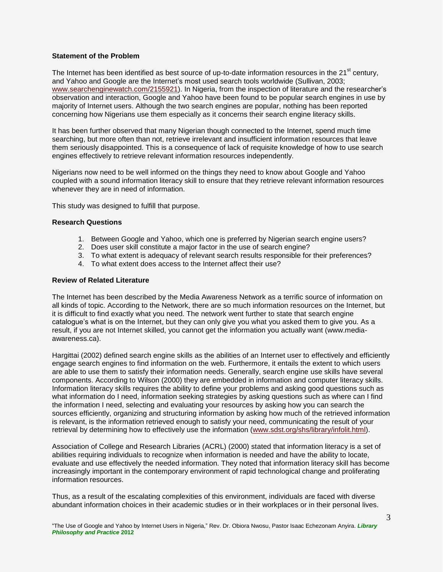#### **Statement of the Problem**

The Internet has been identified as best source of up-to-date information resources in the 21<sup>st</sup> century, and Yahoo and Google are the Internet's most used search tools worldwide (Sullivan, 2003; [www.searchenginewatch.com/2155921\)](http://www.searchenginewatch.com/2155921). In Nigeria, from the inspection of literature and the researcher's observation and interaction, Google and Yahoo have been found to be popular search engines in use by majority of Internet users. Although the two search engines are popular, nothing has been reported concerning how Nigerians use them especially as it concerns their search engine literacy skills.

It has been further observed that many Nigerian though connected to the Internet, spend much time searching, but more often than not, retrieve irrelevant and insufficient information resources that leave them seriously disappointed. This is a consequence of lack of requisite knowledge of how to use search engines effectively to retrieve relevant information resources independently.

Nigerians now need to be well informed on the things they need to know about Google and Yahoo coupled with a sound information literacy skill to ensure that they retrieve relevant information resources whenever they are in need of information.

This study was designed to fulfill that purpose.

#### **Research Questions**

- 1. Between Google and Yahoo, which one is preferred by Nigerian search engine users?
- 2. Does user skill constitute a major factor in the use of search engine?
- 3. To what extent is adequacy of relevant search results responsible for their preferences?
- 4. To what extent does access to the Internet affect their use?

#### **Review of Related Literature**

The Internet has been described by the Media Awareness Network as a terrific source of information on all kinds of topic. According to the Network, there are so much information resources on the Internet, but it is difficult to find exactly what you need. The network went further to state that search engine catalogue's what is on the Internet, but they can only give you what you asked them to give you. As a result, if you are not Internet skilled, you cannot get the information you actually want (www.mediaawareness.ca).

Hargittai (2002) defined search engine skills as the abilities of an Internet user to effectively and efficiently engage search engines to find information on the web. Furthermore, it entails the extent to which users are able to use them to satisfy their information needs. Generally, search engine use skills have several components. According to Wilson (2000) they are embedded in information and computer literacy skills. Information literacy skills requires the ability to define your problems and asking good questions such as what information do I need, information seeking strategies by asking questions such as where can I find the information I need, selecting and evaluating your resources by asking how you can search the sources efficiently, organizing and structuring information by asking how much of the retrieved information is relevant, is the information retrieved enough to satisfy your need, communicating the result of your retrieval by determining how to effectively use the information [\(www.sdst.org/shs/library/infolit.html\)](http://www.sdst.org/shs/library/infolit.html).

Association of College and Research Libraries (ACRL) (2000) stated that information literacy is a set of abilities requiring individuals to recognize when information is needed and have the ability to locate, evaluate and use effectively the needed information. They noted that information literacy skill has become increasingly important in the contemporary environment of rapid technological change and proliferating information resources.

Thus, as a result of the escalating complexities of this environment, individuals are faced with diverse abundant information choices in their academic studies or in their workplaces or in their personal lives.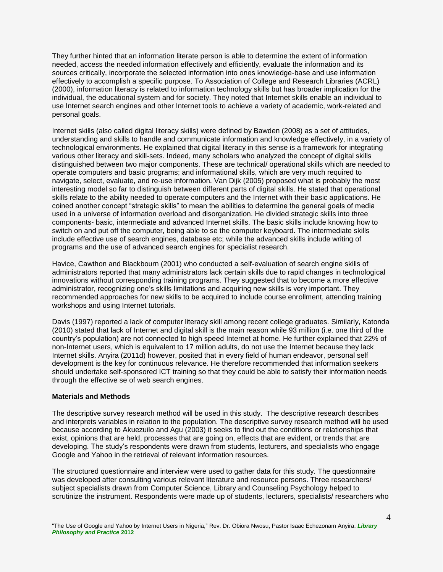They further hinted that an information literate person is able to determine the extent of information needed, access the needed information effectively and efficiently, evaluate the information and its sources critically, incorporate the selected information into ones knowledge-base and use information effectively to accomplish a specific purpose. To Association of College and Research Libraries (ACRL) (2000), information literacy is related to information technology skills but has broader implication for the individual, the educational system and for society. They noted that Internet skills enable an individual to use Internet search engines and other Internet tools to achieve a variety of academic, work-related and personal goals.

Internet skills (also called digital literacy skills) were defined by Bawden (2008) as a set of attitudes, understanding and skills to handle and communicate information and knowledge effectively, in a variety of technological environments. He explained that digital literacy in this sense is a framework for integrating various other literacy and skill-sets. Indeed, many scholars who analyzed the concept of digital skills distinguished between two major components. These are technical/ operational skills which are needed to operate computers and basic programs; and informational skills, which are very much required to navigate, select, evaluate, and re-use information. Van Dijk (2005) proposed what is probably the most interesting model so far to distinguish between different parts of digital skills. He stated that operational skills relate to the ability needed to operate computers and the Internet with their basic applications. He coined another concept "strategic skills" to mean the abilities to determine the general goals of media used in a universe of information overload and disorganization. He divided strategic skills into three components- basic, intermediate and advanced Internet skills. The basic skills include knowing how to switch on and put off the computer, being able to se the computer keyboard. The intermediate skills include effective use of search engines, database etc; while the advanced skills include writing of programs and the use of advanced search engines for specialist research.

Havice, Cawthon and Blackbourn (2001) who conducted a self-evaluation of search engine skills of administrators reported that many administrators lack certain skills due to rapid changes in technological innovations without corresponding training programs. They suggested that to become a more effective administrator, recognizing one's skills limitations and acquiring new skills is very important. They recommended approaches for new skills to be acquired to include course enrollment, attending training workshops and using Internet tutorials.

Davis (1997) reported a lack of computer literacy skill among recent college graduates. Similarly, Katonda (2010) stated that lack of Internet and digital skill is the main reason while 93 million (i.e. one third of the country's population) are not connected to high speed Internet at home. He further explained that 22% of non-Internet users, which is equivalent to 17 million adults, do not use the Internet because they lack Internet skills. Anyira (2011d) however, posited that in every field of human endeavor, personal self development is the key for continuous relevance. He therefore recommended that information seekers should undertake self-sponsored ICT training so that they could be able to satisfy their information needs through the effective se of web search engines.

#### **Materials and Methods**

The descriptive survey research method will be used in this study. The descriptive research describes and interprets variables in relation to the population. The descriptive survey research method will be used because according to Akuezuilo and Agu (2003) it seeks to find out the conditions or relationships that exist, opinions that are held, processes that are going on, effects that are evident, or trends that are developing. The study's respondents were drawn from students, lecturers, and specialists who engage Google and Yahoo in the retrieval of relevant information resources.

The structured questionnaire and interview were used to gather data for this study. The questionnaire was developed after consulting various relevant literature and resource persons. Three researchers/ subject specialists drawn from Computer Science, Library and Counseling Psychology helped to scrutinize the instrument. Respondents were made up of students, lecturers, specialists/ researchers who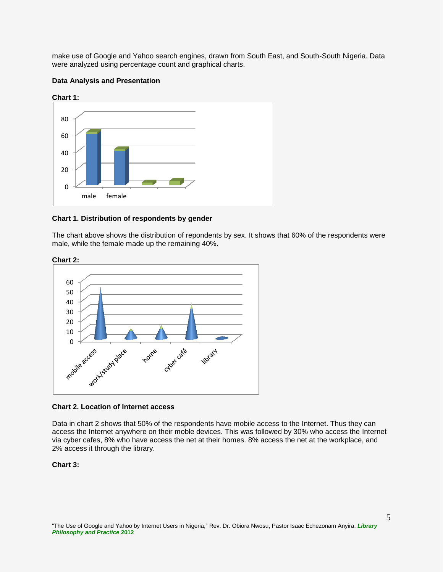make use of Google and Yahoo search engines, drawn from South East, and South-South Nigeria. Data were analyzed using percentage count and graphical charts.

#### **Data Analysis and Presentation**



**Chart 1. Distribution of respondents by gender**

The chart above shows the distribution of repondents by sex. It shows that 60% of the respondents were male, while the female made up the remaining 40%.





#### **Chart 2. Location of Internet access**

Data in chart 2 shows that 50% of the respondents have mobile access to the Internet. Thus they can access the Internet anywhere on their moble devices. This was followed by 30% who access the Internet via cyber cafes, 8% who have access the net at their homes. 8% access the net at the workplace, and 2% access it through the library.

### **Chart 3:**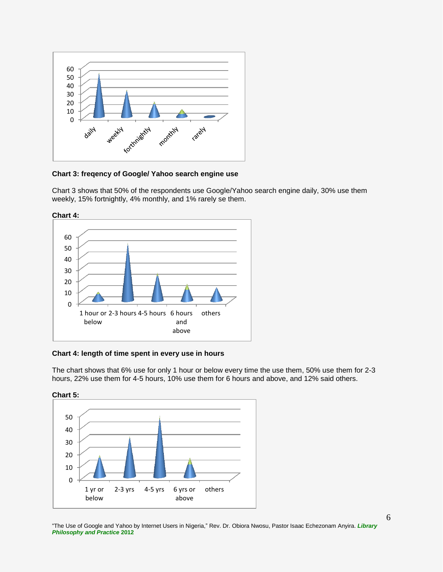

**Chart 3: freqency of Google/ Yahoo search engine use**

Chart 3 shows that 50% of the respondents use Google/Yahoo search engine daily, 30% use them weekly, 15% fortnightly, 4% monthly, and 1% rarely se them.



**Chart 4: length of time spent in every use in hours**

The chart shows that 6% use for only 1 hour or below every time the use them, 50% use them for 2-3 hours, 22% use them for 4-5 hours, 10% use them for 6 hours and above, and 12% said others.



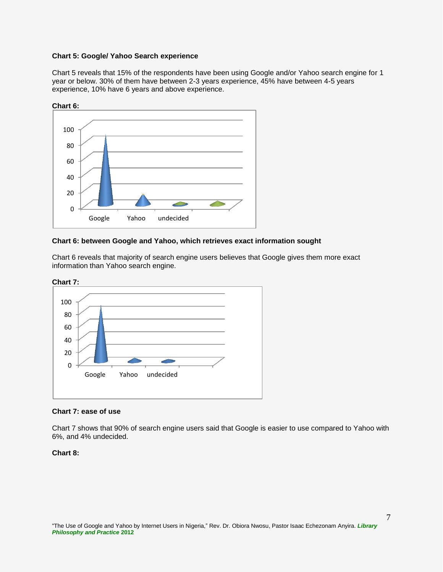#### **Chart 5: Google/ Yahoo Search experience**

Chart 5 reveals that 15% of the respondents have been using Google and/or Yahoo search engine for 1 year or below. 30% of them have between 2-3 years experience, 45% have between 4-5 years experience, 10% have 6 years and above experience.



#### **Chart 6: between Google and Yahoo, which retrieves exact information sought**

Chart 6 reveals that majority of search engine users believes that Google gives them more exact information than Yahoo search engine.



#### **Chart 7: ease of use**

Chart 7 shows that 90% of search engine users said that Google is easier to use compared to Yahoo with 6%, and 4% undecided.

#### **Chart 8:**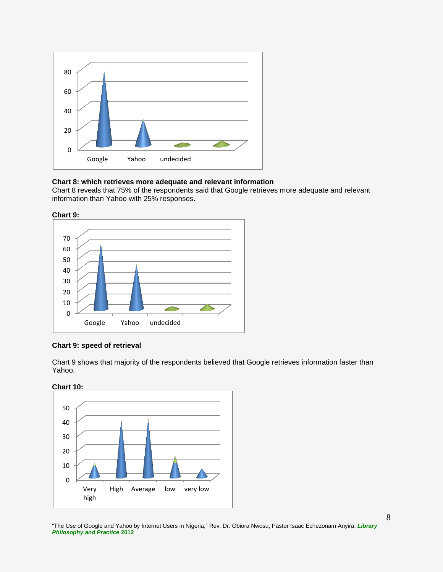

#### **Chart 8: which retrieves more adequate and relevant information**

Chart 8 reveals that 75% of the respondents said that Google retrieves more adequate and relevant information than Yahoo with 25% responses.



#### **Chart 9: speed of retrieval**

Chart 9 shows that majority of the respondents believed that Google retrieves information faster than Yahoo.



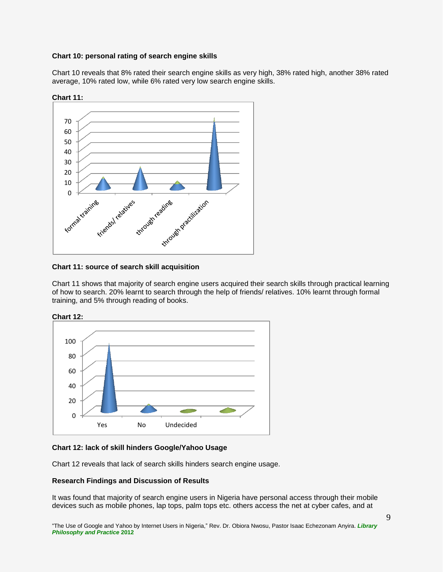#### **Chart 10: personal rating of search engine skills**

Chart 10 reveals that 8% rated their search engine skills as very high, 38% rated high, another 38% rated average, 10% rated low, while 6% rated very low search engine skills.



**Chart 11:**

Chart 11 shows that majority of search engine users acquired their search skills through practical learning of how to search. 20% learnt to search through the help of friends/ relatives. 10% learnt through formal training, and 5% through reading of books.



#### **Chart 12: lack of skill hinders Google/Yahoo Usage**

Chart 12 reveals that lack of search skills hinders search engine usage.

#### **Research Findings and Discussion of Results**

It was found that majority of search engine users in Nigeria have personal access through their mobile devices such as mobile phones, lap tops, palm tops etc. others access the net at cyber cafes, and at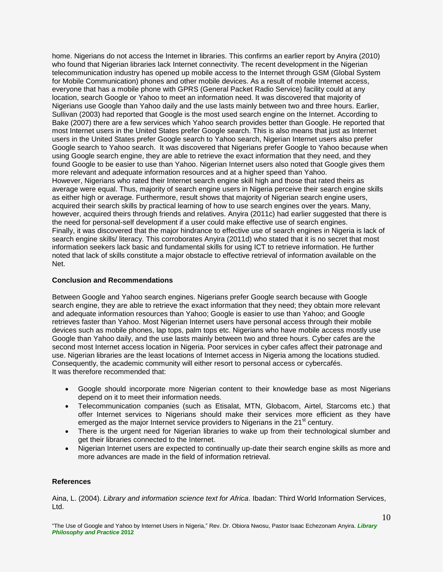home. Nigerians do not access the Internet in libraries. This confirms an earlier report by Anyira (2010) who found that Nigerian libraries lack Internet connectivity. The recent development in the Nigerian telecommunication industry has opened up mobile access to the Internet through GSM (Global System for Mobile Communication) phones and other mobile devices. As a result of mobile Internet access, everyone that has a mobile phone with GPRS (General Packet Radio Service) facility could at any location, search Google or Yahoo to meet an information need. It was discovered that majority of Nigerians use Google than Yahoo daily and the use lasts mainly between two and three hours. Earlier, Sullivan (2003) had reported that Google is the most used search engine on the Internet. According to Bake (2007) there are a few services which Yahoo search provides better than Google. He reported that most Internet users in the United States prefer Google search. This is also means that just as Internet users in the United States prefer Google search to Yahoo search, Nigerian Internet users also prefer Google search to Yahoo search. It was discovered that Nigerians prefer Google to Yahoo because when using Google search engine, they are able to retrieve the exact information that they need, and they found Google to be easier to use than Yahoo. Nigerian Internet users also noted that Google gives them more relevant and adequate information resources and at a higher speed than Yahoo. However, Nigerians who rated their Internet search engine skill high and those that rated theirs as average were equal. Thus, majority of search engine users in Nigeria perceive their search engine skills as either high or average. Furthermore, result shows that majority of Nigerian search engine users, acquired their search skills by practical learning of how to use search engines over the years. Many, however, acquired theirs through friends and relatives. Anyira (2011c) had earlier suggested that there is the need for personal-self development if a user could make effective use of search engines. Finally, it was discovered that the major hindrance to effective use of search engines in Nigeria is lack of search engine skills/ literacy. This corroborates Anyira (2011d) who stated that it is no secret that most information seekers lack basic and fundamental skills for using ICT to retrieve information. He further noted that lack of skills constitute a major obstacle to effective retrieval of information available on the Net.

#### **Conclusion and Recommendations**

Between Google and Yahoo search engines. Nigerians prefer Google search because with Google search engine, they are able to retrieve the exact information that they need; they obtain more relevant and adequate information resources than Yahoo; Google is easier to use than Yahoo; and Google retrieves faster than Yahoo. Most Nigerian Internet users have personal access through their mobile devices such as mobile phones, lap tops, palm tops etc. Nigerians who have mobile access mostly use Google than Yahoo daily, and the use lasts mainly between two and three hours. Cyber cafes are the second most Internet access location in Nigeria. Poor services in cyber cafes affect their patronage and use. Nigerian libraries are the least locations of Internet access in Nigeria among the locations studied. Consequently, the academic community will either resort to personal access or cybercafés. It was therefore recommended that:

- Google should incorporate more Nigerian content to their knowledge base as most Nigerians depend on it to meet their information needs.
- Telecommunication companies (such as Etisalat, MTN, Globacom, Airtel, Starcoms etc.) that offer Internet services to Nigerians should make their services more efficient as they have emerged as the major Internet service providers to Nigerians in the  $21<sup>st</sup>$  century.
- There is the urgent need for Nigerian libraries to wake up from their technological slumber and get their libraries connected to the Internet.
- Nigerian Internet users are expected to continually up-date their search engine skills as more and more advances are made in the field of information retrieval.

#### **References**

Aina, L. (2004). *Library and information science text for Africa*. Ibadan: Third World Information Services, Ltd.